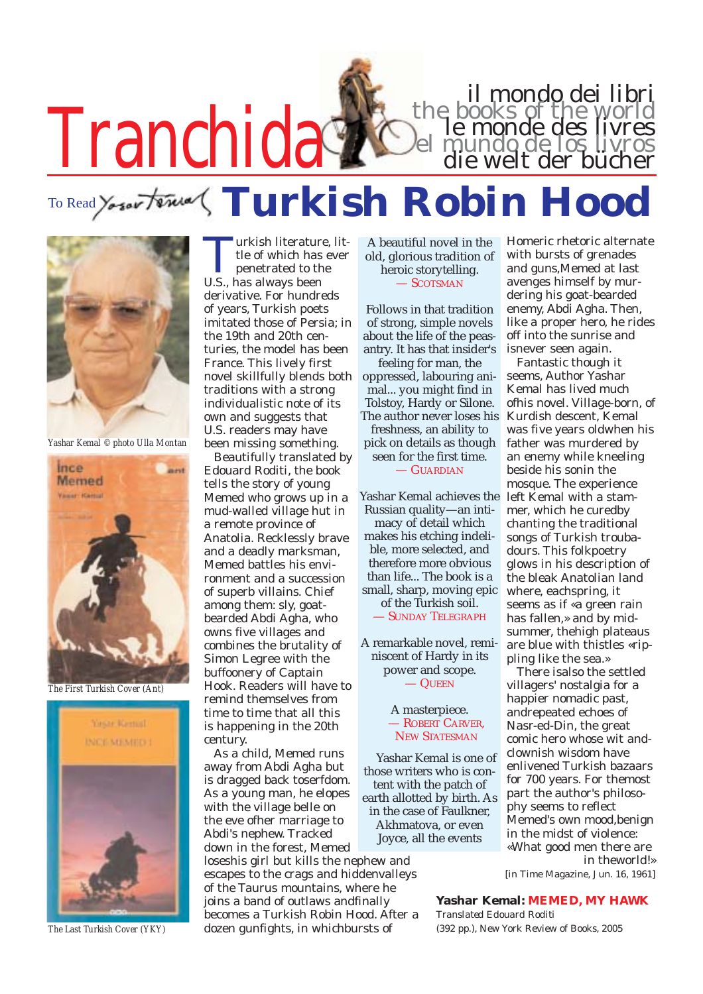

**Turkish Robin Hood** To Read Yosar terms



*Yashar Kemal © photo Ulla Montan*



*The First Turkish Cover (Ant)*



*The Last Turkish Cover (YKY)*

Turkish literature, little of which has ever penetrated to the U.S., has always been derivative. For hundreds of years, Turkish poets imitated those of Persia; in the 19th and 20th centuries, the model has been France. This lively first novel skillfully blends both traditions with a strong individualistic note of its own and suggests that U.S. readers may have been missing something.

Beautifully translated by Edouard Roditi, the book tells the story of young Memed who grows up in a mud-walled village hut in a remote province of Anatolia. Recklessly brave and a deadly marksman, Memed battles his environment and a succession of superb villains. Chief among them: sly, goatbearded Abdi Agha, who owns five villages and combines the brutality of Simon Legree with the buffoonery of Captain Hook. Readers will have to remind themselves from time to time that all this is happening in the 20th century.

As a child, Memed runs away from Abdi Agha but is dragged back toserfdom. As a young man, he elopes with the village belle on the eve ofher marriage to Abdi's nephew. Tracked down in the forest, Memed loseshis girl but kills the nephew and escapes to the crags and hiddenvalleys of the Taurus mountains, where he joins a band of outlaws andfinally becomes a Turkish Robin Hood. After a dozen gunfights, in whichbursts of

A beautiful novel in the old, glorious tradition of heroic storytelling. — SCOTSMAN

Follows in that tradition of strong, simple novels about the life of the peasantry. It has that insider's feeling for man, the oppressed, labouring animal... you might find in Tolstoy, Hardy or Silone.

The author never loses his freshness, an ability to pick on details as though seen for the first time. — GUARDIAN

Yashar Kemal achieves the Russian quality—an intimacy of detail which makes his etching indelible, more selected, and therefore more obvious than life... The book is a small, sharp, moving epic of the Turkish soil. — SUNDAY TELEGRAPH

A remarkable novel, reminiscent of Hardy in its power and scope. — QUEEN

#### A masterpiece. — ROBERT CARVER, NEW STATESMAN

Yashar Kemal is one of those writers who is content with the patch of earth allotted by birth. As in the case of Faulkner, Akhmatova, or even Joyce, all the events

for 700 years. For themost part the author's philosophy seems to reflect Memed's own mood,benign in the midst of violence: «What good men there are

pling like the sea.»

There isalso the settled villagers' nostalgia for a happier nomadic past, andrepeated echoes of Nasr-ed-Din, the great comic hero whose wit andclownish wisdom have enlivened Turkish bazaars

Homeric rhetoric alternate with bursts of grenades and guns,Memed at last avenges himself by murdering his goat-bearded enemy, Abdi Agha. Then, like a proper hero, he rides off into the sunrise and isnever seen again. Fantastic though it seems, Author Yashar Kemal has lived much ofhis novel. Village-born, of Kurdish descent, Kemal was five years oldwhen his father was murdered by an enemy while kneeling beside his sonin the mosque. The experience left Kemal with a stammer, which he curedby chanting the traditional songs of Turkish troubadours. This folkpoetry glows in his description of the bleak Anatolian land where, eachspring, it seems as if «a green rain has fallen,» and by midsummer, thehigh plateaus are blue with thistles «rip-

il mondo dei libri<br>the books of the world<br>le monde des livres<br>el mundo de los livros<br>die welt der bücher

in theworld!» *[in* Time Magazine*, Jun. 16, 1961]*

### **Yashar Kemal: MEMED, MY HAWK**

*Translated Edouard Roditi* (392 pp.), New York Review of Books, 2005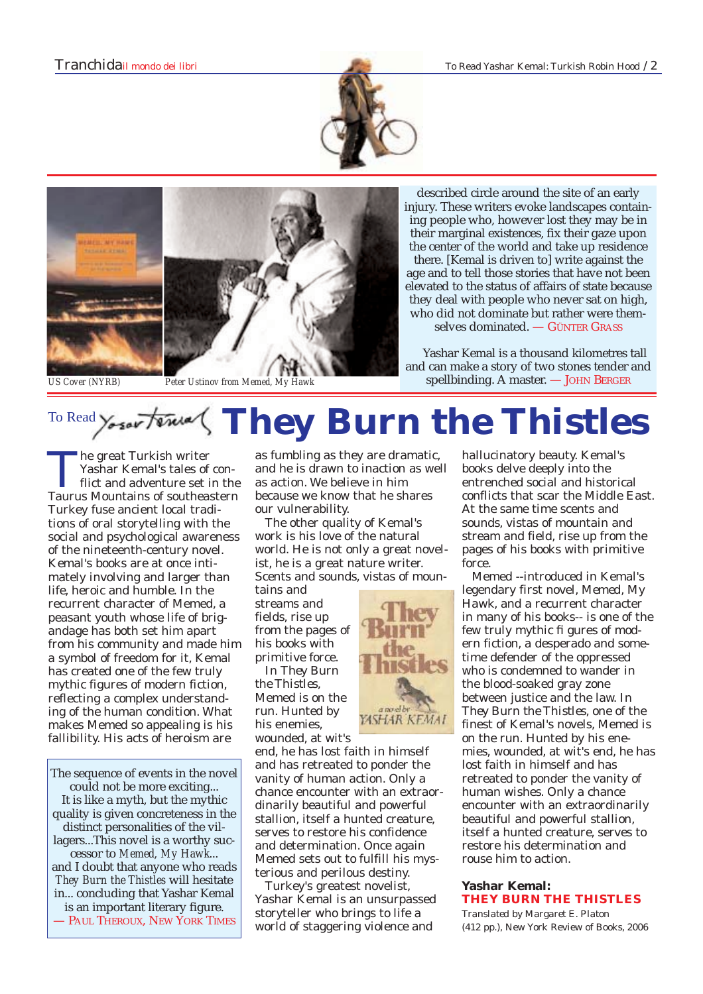described circle around the site of an early injury. These writers evoke landscapes containing people who, however lost they may be in their marginal existences, fix their gaze upon the center of the world and take up residence there. [Kemal is driven to] write against the age and to tell those stories that have not been elevated to the status of affairs of state because



*US Cover (NYRB) Peter Ustinov from Memed, My Hawk*

# they deal with people who never sat on high, who did not dominate but rather were themselves dominated. — GÜNTER GRASS Yashar Kemal is a thousand kilometres tall and can make a story of two stones tender and spellbinding. A master. — JOHN BERGER

# To Read Yoser Faxed (They Burn the Thistles

The great Turkish writer<br>Tashar Kemal's tales of conflict and adventure set in the<br>Taurus Mountains of southeastern Yashar Kemal's tales of con-Taurus Mountains of southeastern Turkey fuse ancient local traditions of oral storytelling with the social and psychological awareness of the nineteenth-century novel. Kemal's books are at once intimately involving and larger than life, heroic and humble. In the recurrent character of Memed, a peasant youth whose life of brigandage has both set him apart from his community and made him a symbol of freedom for it, Kemal has created one of the few truly mythic figures of modern fiction, reflecting a complex understanding of the human condition. What makes Memed so appealing is his fallibility. His acts of heroism are

The sequence of events in the novel could not be more exciting... It is like a myth, but the mythic quality is given concreteness in the distinct personalities of the villagers...This novel is a worthy successor to *Memed, My Hawk*... and I doubt that anyone who reads *They Burn the Thistles* will hesitate in... concluding that Yashar Kemal is an important literary figure. — PAUL THEROUX, NEW YORK TIMES

as fumbling as they are dramatic, and he is drawn to inaction as well as action. We believe in him because we know that he shares our vulnerability.

The other quality of Kemal's work is his love of the natural world. He is not only a great novelist, he is a great nature writer. Scents and sounds, vistas of moun-

tains and streams and fields, rise up from the pages of his books with primitive force.

In *They Burn the Thistles*, Memed is on the run. Hunted by his enemies, wounded, at wit's

end, he has lost faith in himself and has retreated to ponder the vanity of human action. Only a chance encounter with an extraordinarily beautiful and powerful stallion, itself a hunted creature, serves to restore his confidence and determination. Once again Memed sets out to fulfill his mysterious and perilous destiny.

Turkey's greatest novelist, Yashar Kemal is an unsurpassed storyteller who brings to life a world of staggering violence and

hallucinatory beauty. Kemal's books delve deeply into the entrenched social and historical conflicts that scar the Middle East. At the same time scents and sounds, vistas of mountain and stream and field, rise up from the pages of his books with primitive force.

Memed --introduced in Kemal's legendary first novel, *Memed, My Hawk*, and a recurrent character in many of his books-- is one of the few truly mythic fi gures of modern fiction, a desperado and sometime defender of the oppressed who is condemned to wander in the blood-soaked gray zone between justice and the law. In *They Burn the Thistles*, one of the finest of Kemal's novels, Memed is on the run. Hunted by his enemies, wounded, at wit's end, he has lost faith in himself and has retreated to ponder the vanity of human wishes. Only a chance encounter with an extraordinarily beautiful and powerful stallion, itself a hunted creature, serves to restore his determination and rouse him to action.

## **Yashar Kemal: THEY BURN THE THISTLES**

*Translated by Margaret E. Platon* (412 pp.), New York Review of Books, 2006